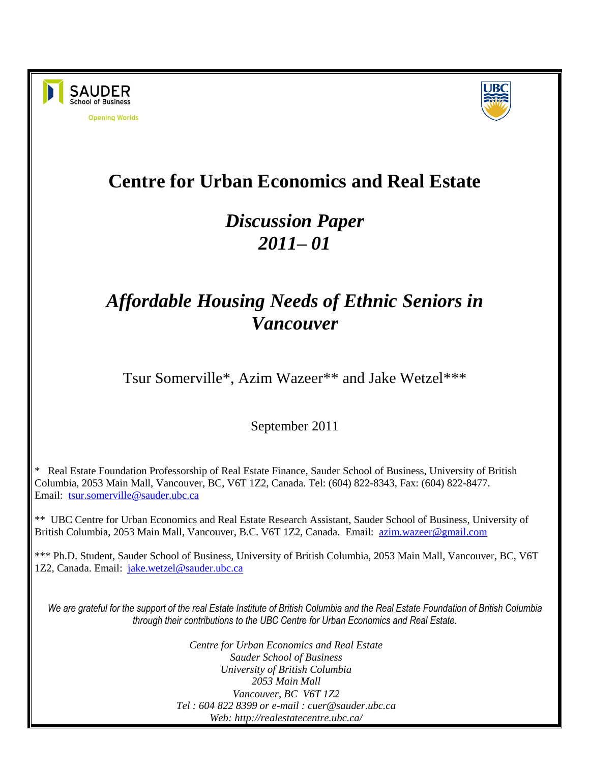



# **Centre for Urban Economics and Real Estate**

# *Discussion Paper 2011– 01*

# *Affordable Housing Needs of Ethnic Seniors in Vancouver*

Tsur Somerville\*, Azim Wazeer\*\* and Jake Wetzel\*\*\*

September 2011

\* Real Estate Foundation Professorship of Real Estate Finance, Sauder School of Business, University of British Columbia, 2053 Main Mall, Vancouver, BC, V6T 1Z2, Canada. Tel: (604) 822-8343, Fax: (604) 822-8477. Email: [tsur.somerville@sauder.ubc.ca](mailto:tsur.somerville@sauder.ubc.ca)

\*\* UBC Centre for Urban Economics and Real Estate Research Assistant, Sauder School of Business, University of British Columbia, 2053 Main Mall, Vancouver, B.C. V6T 1Z2, Canada. Email: [azim.wazeer@gmail.com](mailto:azim.wazeer@gmail.com)

\*\*\* Ph.D. Student, Sauder School of Business, University of British Columbia, 2053 Main Mall, Vancouver, BC, V6T 1Z2, Canada. Email: [jake.wetzel@sauder.ubc.ca](mailto:jake.wetzel@sauder.ubc.ca)

*We are grateful for the support of the real Estate Institute of British Columbia and the Real Estate Foundation of British Columbia through their contributions to the UBC Centre for Urban Economics and Real Estate.*

> *Centre for Urban Economics and Real Estate Sauder School of Business University of British Columbia 2053 Main Mall Vancouver, BC V6T 1Z2 Tel : 604 822 8399 or e-mail : cuer@sauder.ubc.ca Web: http://realestatecentre.ubc.ca/*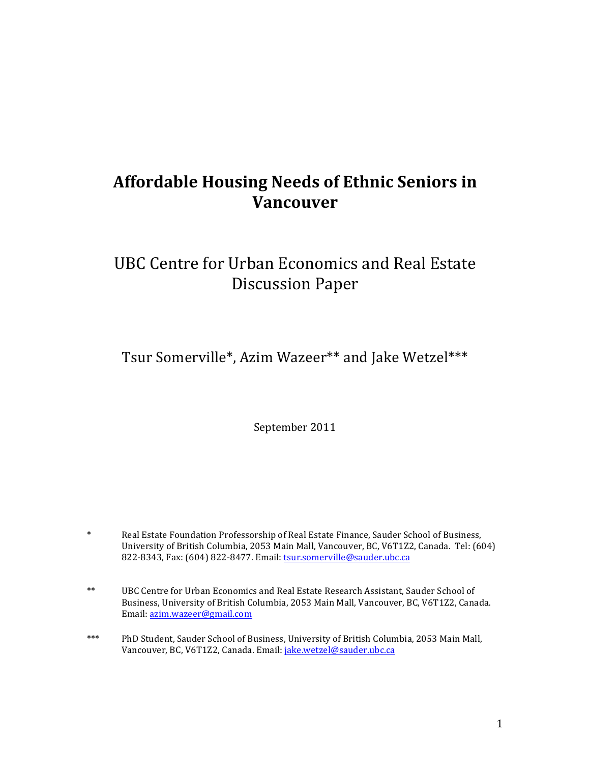## **Affordable Housing Needs of Ethnic Seniors in Vancouver**

## UBC Centre for Urban Economics and Real Estate Discussion Paper

Tsur Somerville\*, Azim Wazeer\*\* and Jake Wetzel\*\*\*

September 2011

- \* Real Estate Foundation Professorship of Real Estate Finance, Sauder School of Business, University of British Columbia, 2053 Main Mall, Vancouver, BC, V6T1Z2, Canada. Tel: (604) 822-8343, Fax: (604) 822-8477. Email: tsur.somerville@sauder.ubc.ca
- \*\* UBC Centre for Urban Economics and Real Estate Research Assistant, Sauder School of Business, University of British Columbia, 2053 Main Mall, Vancouver, BC, V6T1Z2, Canada. Email: azim.wazeer@gmail.com
- \*\*\* PhD Student, Sauder School of Business, University of British Columbia, 2053 Main Mall, Vancouver, BC, V6T1Z2, Canada. Email: jake.wetzel@sauder.ubc.ca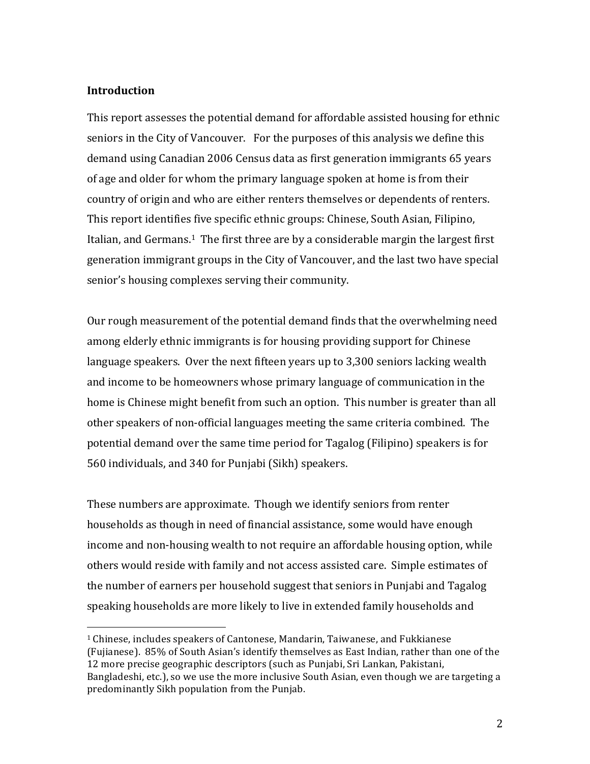#### **Introduction**

 

This report assesses the potential demand for affordable assisted housing for ethnic seniors in the City of Vancouver. For the purposes of this analysis we define this demand using Canadian 2006 Census data as first generation immigrants 65 years of age and older for whom the primary language spoken at home is from their country of origin and who are either renters themselves or dependents of renters. This report identifies five specific ethnic groups: Chinese, South Asian, Filipino, Italian, and Germans.<sup>1</sup> The first three are by a considerable margin the largest first generation immigrant groups in the City of Vancouver, and the last two have special senior's housing complexes serving their community.

Our rough measurement of the potential demand finds that the overwhelming need among elderly ethnic immigrants is for housing providing support for Chinese language speakers. Over the next fifteen years up to 3,300 seniors lacking wealth and income to be homeowners whose primary language of communication in the home is Chinese might benefit from such an option. This number is greater than all other speakers of non-official languages meeting the same criteria combined. The potential demand over the same time period for Tagalog (Filipino) speakers is for 560 individuals, and 340 for Punjabi (Sikh) speakers.

These numbers are approximate. Though we identify seniors from renter households as though in need of financial assistance, some would have enough income and non-housing wealth to not require an affordable housing option, while others would reside with family and not access assisted care. Simple estimates of the number of earners per household suggest that seniors in Punjabi and Tagalog speaking households are more likely to live in extended family households and

 $1$  Chinese, includes speakers of Cantonese, Mandarin, Taiwanese, and Fukkianese (Fujianese). 85% of South Asian's identify themselves as East Indian, rather than one of the 12 more precise geographic descriptors (such as Punjabi, Sri Lankan, Pakistani, Bangladeshi, etc.), so we use the more inclusive South Asian, even though we are targeting a predominantly Sikh population from the Punjab.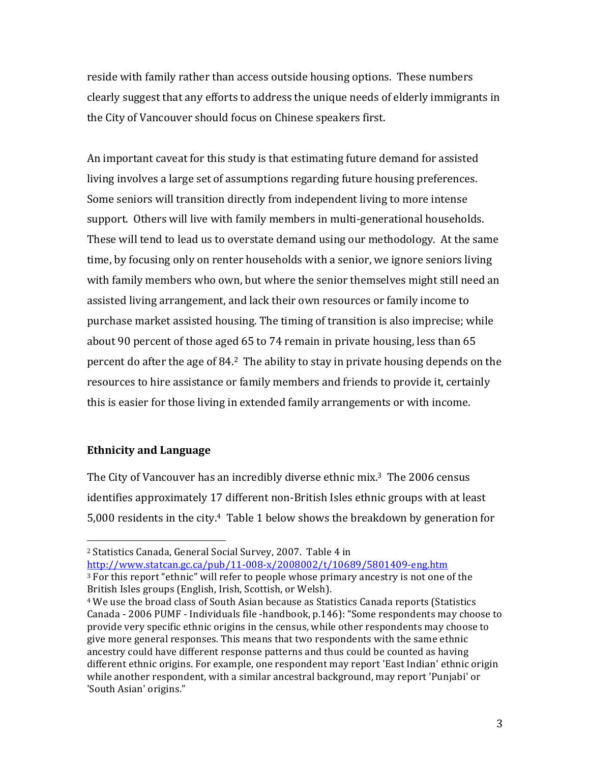reside with family rather than access outside housing options. These numbers clearly suggest that any efforts to address the unique needs of elderly immigrants in the City of Vancouver should focus on Chinese speakers first.

An important caveat for this study is that estimating future demand for assisted living involves a large set of assumptions regarding future housing preferences. Some seniors will transition directly from independent living to more intense support. Others will live with family members in multi-generational households. These will tend to lead us to overstate demand using our methodology. At the same time, by focusing only on renter households with a senior, we ignore seniors living with family members who own, but where the senior themselves might still need an assisted living arrangement, and lack their own resources or family income to purchase market assisted housing. The timing of transition is also imprecise; while about 90 percent of those aged 65 to 74 remain in private housing, less than 65 percent do after the age of  $84<sup>2</sup>$ . The ability to stay in private housing depends on the resources to hire assistance or family members and friends to provide it, certainly this is easier for those living in extended family arrangements or with income.

#### **Ethnicity and Language**

 

The City of Vancouver has an incredibly diverse ethnic mix.<sup>3</sup> The 2006 census identifies approximately 17 different non-British Isles ethnic groups with at least 5,000 residents in the city.<sup>4</sup> Table 1 below shows the breakdown by generation for

http://www.statcan.gc.ca/pub/11-008-x/2008002/t/10689/5801409-eng.htm

<sup>&</sup>lt;sup>2</sup> Statistics Canada, General Social Survey, 2007. Table 4 in

 $3$  For this report "ethnic" will refer to people whose primary ancestry is not one of the British Isles groups (English, Irish, Scottish, or Welsh).

<sup>&</sup>lt;sup>4</sup> We use the broad class of South Asian because as Statistics Canada reports (Statistics Canada - 2006 PUMF - Individuals file -handbook,  $p.146$ ): "Some respondents may choose to provide very specific ethnic origins in the census, while other respondents may choose to give more general responses. This means that two respondents with the same ethnic ancestry could have different response patterns and thus could be counted as having different ethnic origins. For example, one respondent may report 'East Indian' ethnic origin while another respondent, with a similar ancestral background, may report 'Punjabi' or 'South Asian' origins."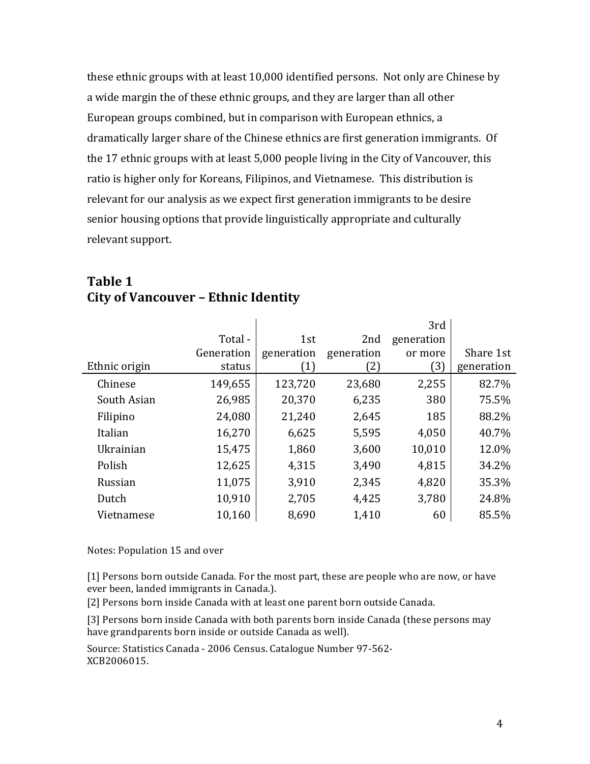these ethnic groups with at least 10,000 identified persons. Not only are Chinese by a wide margin the of these ethnic groups, and they are larger than all other European groups combined, but in comparison with European ethnics, a dramatically larger share of the Chinese ethnics are first generation immigrants. Of the 17 ethnic groups with at least 5,000 people living in the City of Vancouver, this ratio is higher only for Koreans, Filipinos, and Vietnamese. This distribution is relevant for our analysis as we expect first generation immigrants to be desire senior housing options that provide linguistically appropriate and culturally relevant support.

|               |            |                   |            | 3rd        |            |
|---------------|------------|-------------------|------------|------------|------------|
|               | Total -    | 1st               | 2nd        | generation |            |
|               | Generation | generation        | generation | or more    | Share 1st  |
| Ethnic origin | status     | $\left( 1\right)$ | 2)         | [3]        | generation |
| Chinese       | 149,655    | 123,720           | 23,680     | 2,255      | 82.7%      |
| South Asian   | 26,985     | 20,370            | 6,235      | 380        | 75.5%      |
| Filipino      | 24,080     | 21,240            | 2,645      | 185        | 88.2%      |
| Italian       | 16,270     | 6,625             | 5,595      | 4,050      | 40.7%      |
| Ukrainian     | 15,475     | 1,860             | 3,600      | 10,010     | 12.0%      |
| Polish        | 12,625     | 4,315             | 3,490      | 4,815      | 34.2%      |
| Russian       | 11,075     | 3,910             | 2,345      | 4,820      | 35.3%      |
| Dutch         | 10,910     | 2,705             | 4,425      | 3,780      | 24.8%      |
| Vietnamese    | 10,160     | 8,690             | 1,410      | 60         | 85.5%      |

### **Table 1 City of Vancouver – Ethnic Identity**

Notes: Population 15 and over

[1] Persons born outside Canada. For the most part, these are people who are now, or have ever been, landed immigrants in Canada.).

[2] Persons born inside Canada with at least one parent born outside Canada.

[3] Persons born inside Canada with both parents born inside Canada (these persons may have grandparents born inside or outside Canada as well).

Source: Statistics Canada - 2006 Census. Catalogue Number 97-562-XCB2006015.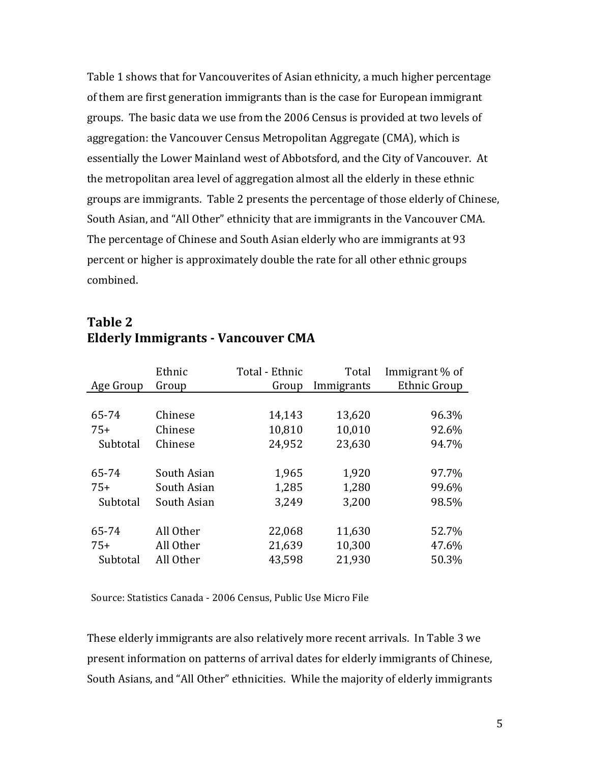Table 1 shows that for Vancouverites of Asian ethnicity, a much higher percentage of them are first generation immigrants than is the case for European immigrant groups. The basic data we use from the 2006 Census is provided at two levels of aggregation: the Vancouver Census Metropolitan Aggregate (CMA), which is essentially the Lower Mainland west of Abbotsford, and the City of Vancouver. At the metropolitan area level of aggregation almost all the elderly in these ethnic groups are immigrants. Table 2 presents the percentage of those elderly of Chinese, South Asian, and "All Other" ethnicity that are immigrants in the Vancouver CMA. The percentage of Chinese and South Asian elderly who are immigrants at 93 percent or higher is approximately double the rate for all other ethnic groups combined. 

|           | Ethnic      | Total - Ethnic | Total      | Immigrant % of      |
|-----------|-------------|----------------|------------|---------------------|
| Age Group | Group       | Group          | Immigrants | <b>Ethnic Group</b> |
|           |             |                |            |                     |
| 65-74     | Chinese     | 14,143         | 13,620     | 96.3%               |
| $75+$     | Chinese     | 10,810         | 10,010     | 92.6%               |
| Subtotal  | Chinese     | 24,952         | 23,630     | 94.7%               |
|           |             |                |            |                     |
| 65-74     | South Asian | 1,965          | 1,920      | 97.7%               |
| $75+$     | South Asian | 1,285          | 1,280      | 99.6%               |
| Subtotal  | South Asian | 3,249          | 3,200      | 98.5%               |
|           |             |                |            |                     |
| 65-74     | All Other   | 22,068         | 11,630     | 52.7%               |
| $75+$     | All Other   | 21,639         | 10,300     | 47.6%               |
| Subtotal  | All Other   | 43,598         | 21,930     | 50.3%               |

### **Table 2 Elderly Immigrants - Vancouver CMA**

Source: Statistics Canada - 2006 Census, Public Use Micro File

These elderly immigrants are also relatively more recent arrivals. In Table 3 we present information on patterns of arrival dates for elderly immigrants of Chinese, South Asians, and "All Other" ethnicities. While the majority of elderly immigrants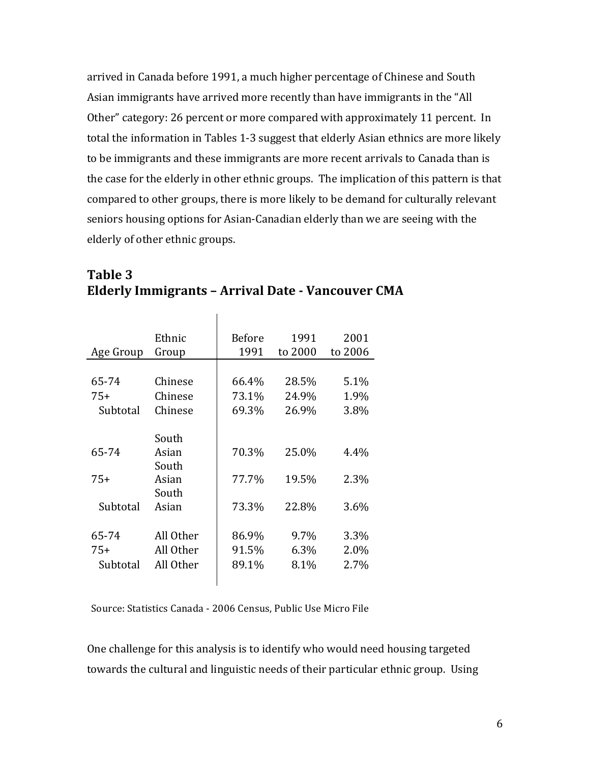arrived in Canada before 1991, a much higher percentage of Chinese and South Asian immigrants have arrived more recently than have immigrants in the "All Other" category: 26 percent or more compared with approximately 11 percent. In total the information in Tables 1-3 suggest that elderly Asian ethnics are more likely to be immigrants and these immigrants are more recent arrivals to Canada than is the case for the elderly in other ethnic groups. The implication of this pattern is that compared to other groups, there is more likely to be demand for culturally relevant seniors housing options for Asian-Canadian elderly than we are seeing with the elderly of other ethnic groups.

| Ethnic<br>Group                     | <b>Before</b><br>1991   | 1991<br>to 2000      | 2001<br>to 2006      |
|-------------------------------------|-------------------------|----------------------|----------------------|
|                                     |                         |                      |                      |
| Chinese                             | 66.4%                   | 28.5%                | 5.1%                 |
| Chinese                             | 73.1%                   | 24.9%                | 1.9%                 |
| Chinese                             | 69.3%                   | 26.9%                | 3.8%                 |
| South                               |                         |                      |                      |
| Asian                               | 70.3%                   | 25.0%                | 4.4%                 |
| South<br>Asian                      | 77.7%                   | 19.5%                | 2.3%                 |
| Asian                               | 73.3%                   | 22.8%                | 3.6%                 |
| All Other<br>All Other<br>All Other | 86.9%<br>91.5%<br>89.1% | 9.7%<br>6.3%<br>8.1% | 3.3%<br>2.0%<br>2.7% |
|                                     | South                   |                      |                      |

#### **Table 3 Elderly Immigrants – Arrival Date - Vancouver CMA**

 $\mathbf{I}$ 

Source: Statistics Canada - 2006 Census, Public Use Micro File

One challenge for this analysis is to identify who would need housing targeted towards the cultural and linguistic needs of their particular ethnic group. Using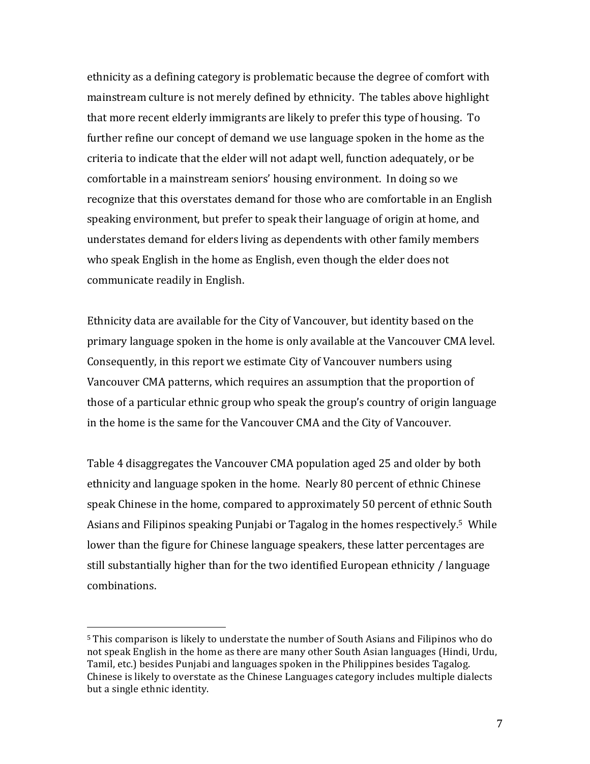ethnicity as a defining category is problematic because the degree of comfort with mainstream culture is not merely defined by ethnicity. The tables above highlight that more recent elderly immigrants are likely to prefer this type of housing. To further refine our concept of demand we use language spoken in the home as the criteria to indicate that the elder will not adapt well, function adequately, or be comfortable in a mainstream seniors' housing environment. In doing so we recognize that this overstates demand for those who are comfortable in an English speaking environment, but prefer to speak their language of origin at home, and understates demand for elders living as dependents with other family members who speak English in the home as English, even though the elder does not communicate readily in English.

Ethnicity data are available for the City of Vancouver, but identity based on the primary language spoken in the home is only available at the Vancouver CMA level. Consequently, in this report we estimate City of Vancouver numbers using Vancouver CMA patterns, which requires an assumption that the proportion of those of a particular ethnic group who speak the group's country of origin language in the home is the same for the Vancouver CMA and the City of Vancouver.

Table 4 disaggregates the Vancouver CMA population aged 25 and older by both ethnicity and language spoken in the home. Nearly 80 percent of ethnic Chinese speak Chinese in the home, compared to approximately 50 percent of ethnic South Asians and Filipinos speaking Punjabi or Tagalog in the homes respectively.<sup>5</sup> While lower than the figure for Chinese language speakers, these latter percentages are still substantially higher than for the two identified European ethnicity / language combinations.

 

<sup>&</sup>lt;sup>5</sup> This comparison is likely to understate the number of South Asians and Filipinos who do not speak English in the home as there are many other South Asian languages (Hindi, Urdu, Tamil, etc.) besides Punjabi and languages spoken in the Philippines besides Tagalog. Chinese is likely to overstate as the Chinese Languages category includes multiple dialects but a single ethnic identity.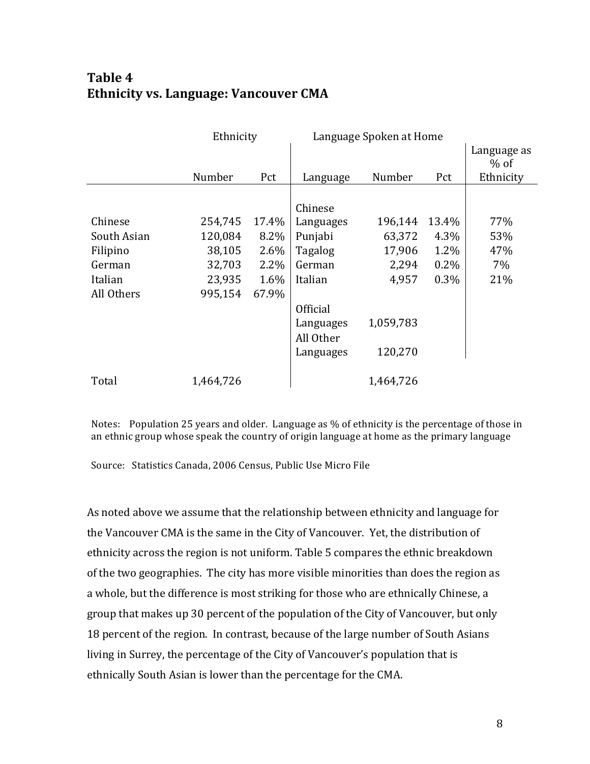## **Table 4 Ethnicity vs. Language: Vancouver CMA**

|             | Ethnicity |       | Language Spoken at Home |           |         |                       |
|-------------|-----------|-------|-------------------------|-----------|---------|-----------------------|
|             |           |       |                         |           |         | Language as<br>$%$ of |
|             | Number    | Pct   | Language                | Number    | Pct     | Ethnicity             |
|             |           |       |                         |           |         |                       |
|             |           |       | Chinese                 |           |         |                       |
| Chinese     | 254,745   | 17.4% | Languages               | 196,144   | 13.4%   | 77%                   |
| South Asian | 120,084   | 8.2%  | Punjabi                 | 63,372    | 4.3%    | 53%                   |
| Filipino    | 38,105    | 2.6%  | Tagalog                 | 17,906    | $1.2\%$ | 47%                   |
| German      | 32,703    | 2.2%  | German                  | 2,294     | $0.2\%$ | 7%                    |
| Italian     | 23,935    | 1.6%  | Italian                 | 4,957     | 0.3%    | 21%                   |
| All Others  | 995,154   | 67.9% |                         |           |         |                       |
|             |           |       | <b>Official</b>         |           |         |                       |
|             |           |       | Languages               | 1,059,783 |         |                       |
|             |           |       | All Other               |           |         |                       |
|             |           |       | Languages               | 120,270   |         |                       |
|             |           |       |                         |           |         |                       |
| Total       | 1,464,726 |       |                         | 1,464,726 |         |                       |

Notes: Population 25 years and older. Language as  $%$  of ethnicity is the percentage of those in an ethnic group whose speak the country of origin language at home as the primary language

Source: Statistics Canada, 2006 Census, Public Use Micro File

As noted above we assume that the relationship between ethnicity and language for the Vancouver CMA is the same in the City of Vancouver. Yet, the distribution of ethnicity across the region is not uniform. Table 5 compares the ethnic breakdown of the two geographies. The city has more visible minorities than does the region as a whole, but the difference is most striking for those who are ethnically Chinese, a group that makes up 30 percent of the population of the City of Vancouver, but only 18 percent of the region. In contrast, because of the large number of South Asians living in Surrey, the percentage of the City of Vancouver's population that is ethnically South Asian is lower than the percentage for the CMA.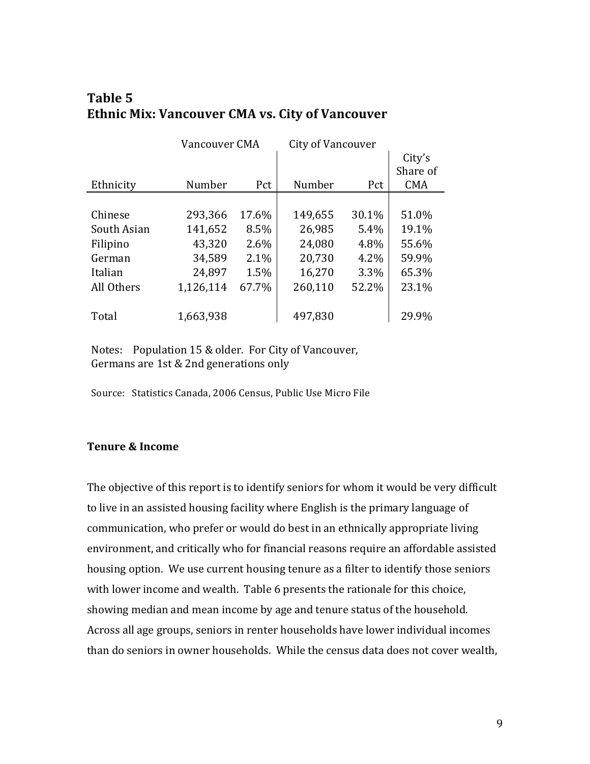| Table 5                                                |  |
|--------------------------------------------------------|--|
| <b>Ethnic Mix: Vancouver CMA vs. City of Vancouver</b> |  |

|             | Vancouver CMA |       | City of Vancouver |         |            |
|-------------|---------------|-------|-------------------|---------|------------|
|             |               |       |                   |         | City's     |
|             |               |       |                   |         | Share of   |
| Ethnicity   | Number        | Pct   | Number            | Pct     | <b>CMA</b> |
|             |               |       |                   |         |            |
| Chinese     | 293,366       | 17.6% | 149,655           | 30.1%   | 51.0%      |
| South Asian | 141,652       | 8.5%  | 26,985            | 5.4%    | 19.1%      |
| Filipino    | 43,320        | 2.6%  | 24,080            | 4.8%    | 55.6%      |
| German      | 34,589        | 2.1%  | 20,730            | $4.2\%$ | 59.9%      |
| Italian     | 24,897        | 1.5%  | 16,270            | 3.3%    | 65.3%      |
| All Others  | 1,126,114     | 67.7% | 260,110           | 52.2%   | 23.1%      |
| Total       | 1,663,938     |       | 497,830           |         | 29.9%      |

Notes: Population 15 & older. For City of Vancouver, Germans are 1st & 2nd generations only

Source: Statistics Canada, 2006 Census, Public Use Micro File

#### **Tenure & Income**

The objective of this report is to identify seniors for whom it would be very difficult to live in an assisted housing facility where English is the primary language of communication, who prefer or would do best in an ethnically appropriate living environment, and critically who for financial reasons require an affordable assisted housing option. We use current housing tenure as a filter to identify those seniors with lower income and wealth. Table 6 presents the rationale for this choice, showing median and mean income by age and tenure status of the household. Across all age groups, seniors in renter households have lower individual incomes than do seniors in owner households. While the census data does not cover wealth,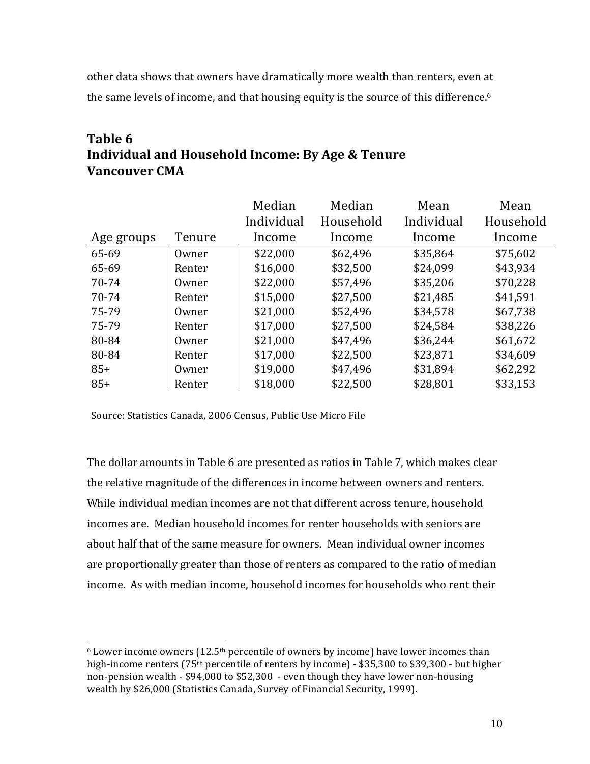other data shows that owners have dramatically more wealth than renters, even at the same levels of income, and that housing equity is the source of this difference.<sup>6</sup>

## **Table 6 Individual and Household Income: By Age & Tenure Vancouver CMA**

|            |        | Median     | Median    | Mean       | Mean      |
|------------|--------|------------|-----------|------------|-----------|
|            |        | Individual | Household | Individual | Household |
| Age groups | Tenure | Income     | Income    | Income     | Income    |
| 65-69      | Owner  | \$22,000   | \$62,496  | \$35,864   | \$75,602  |
| 65-69      | Renter | \$16,000   | \$32,500  | \$24,099   | \$43,934  |
| 70-74      | Owner  | \$22,000   | \$57,496  | \$35,206   | \$70,228  |
| 70-74      | Renter | \$15,000   | \$27,500  | \$21,485   | \$41,591  |
| 75-79      | Owner  | \$21,000   | \$52,496  | \$34,578   | \$67,738  |
| 75-79      | Renter | \$17,000   | \$27,500  | \$24,584   | \$38,226  |
| 80-84      | Owner  | \$21,000   | \$47,496  | \$36,244   | \$61,672  |
| 80-84      | Renter | \$17,000   | \$22,500  | \$23,871   | \$34,609  |
| $85+$      | Owner  | \$19,000   | \$47,496  | \$31,894   | \$62,292  |
| $85+$      | Renter | \$18,000   | \$22,500  | \$28,801   | \$33,153  |

Source: Statistics Canada, 2006 Census, Public Use Micro File

 

The dollar amounts in Table 6 are presented as ratios in Table 7, which makes clear the relative magnitude of the differences in income between owners and renters. While individual median incomes are not that different across tenure, household incomes are. Median household incomes for renter households with seniors are about half that of the same measure for owners. Mean individual owner incomes are proportionally greater than those of renters as compared to the ratio of median income. As with median income, household incomes for households who rent their

 $6$  Lower income owners (12.5<sup>th</sup> percentile of owners by income) have lower incomes than high-income renters  $(75<sup>th</sup>$  percentile of renters by income) - \$35,300 to \$39,300 - but higher non-pension wealth -  $$94,000$  to  $$52,300$  - even though they have lower non-housing wealth by \$26,000 (Statistics Canada, Survey of Financial Security, 1999).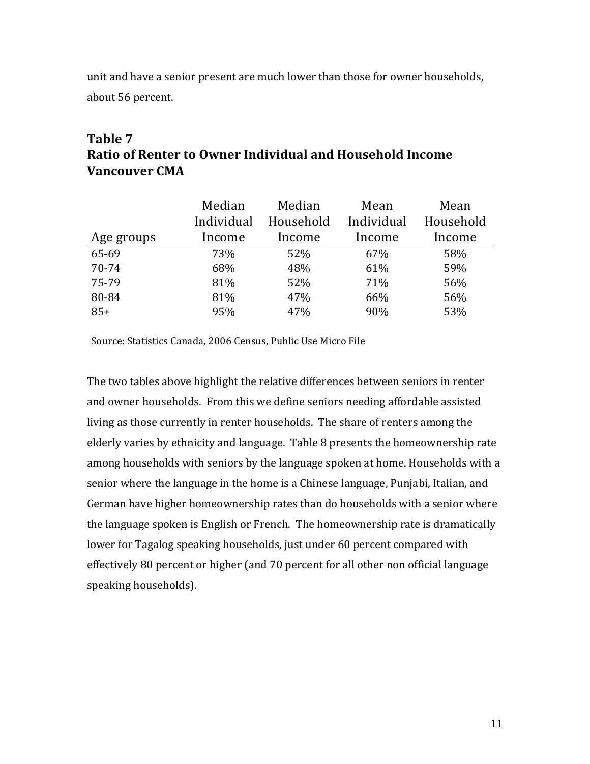unit and have a senior present are much lower than those for owner households, about 56 percent.

## **Table 7 Ratio of Renter to Owner Individual and Household Income Vancouver CMA**

|            | Median     | Median    | Mean       | Mean      |
|------------|------------|-----------|------------|-----------|
|            | Individual | Household | Individual | Household |
| Age groups | Income     | Income    | Income     | Income    |
| 65-69      | 73%        | 52%       | 67%        | 58%       |
| $70 - 74$  | 68%        | 48%       | 61%        | 59%       |
| 75-79      | 81%        | 52%       | 71%        | 56%       |
| 80-84      | 81%        | 47%       | 66%        | 56%       |
| $85+$      | 95%        | 47%       | 90%        | 53%       |

Source: Statistics Canada, 2006 Census, Public Use Micro File

The two tables above highlight the relative differences between seniors in renter and owner households. From this we define seniors needing affordable assisted living as those currently in renter households. The share of renters among the elderly varies by ethnicity and language. Table 8 presents the homeownership rate among households with seniors by the language spoken at home. Households with a senior where the language in the home is a Chinese language, Punjabi, Italian, and German have higher homeownership rates than do households with a senior where the language spoken is English or French. The homeownership rate is dramatically lower for Tagalog speaking households, just under 60 percent compared with effectively 80 percent or higher (and 70 percent for all other non official language speaking households).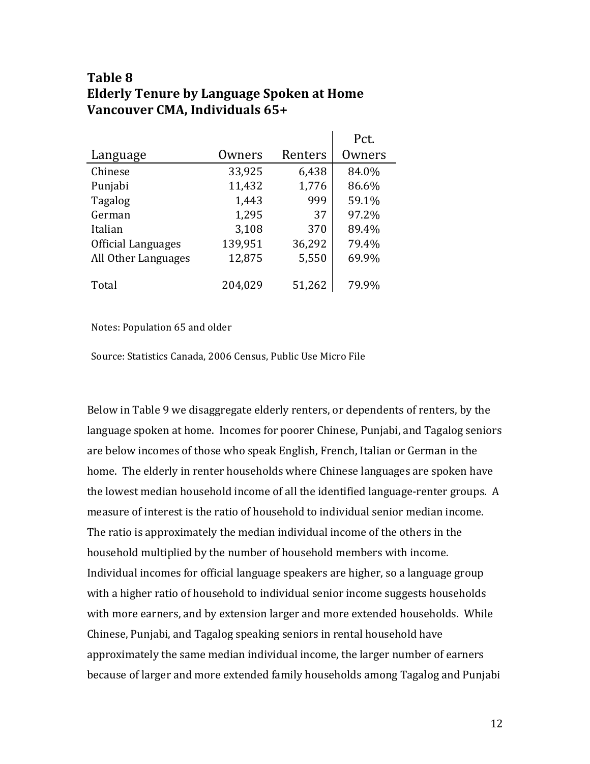### **Table 8 Elderly Tenure by Language Spoken at Home Vancouver CMA, Individuals 65+**

|                     |         |         | Pct.   |
|---------------------|---------|---------|--------|
| Language            | Owners  | Renters | Owners |
| Chinese             | 33,925  | 6,438   | 84.0%  |
| Punjabi             | 11,432  | 1,776   | 86.6%  |
| Tagalog             | 1,443   | 999     | 59.1%  |
| German              | 1,295   | 37      | 97.2%  |
| Italian             | 3,108   | 370     | 89.4%  |
| Official Languages  | 139,951 | 36,292  | 79.4%  |
| All Other Languages | 12,875  | 5,550   | 69.9%  |
|                     |         |         |        |
| Total               | 204,029 | 51,262  | 79.9%  |

Notes: Population 65 and older

Source: Statistics Canada, 2006 Census, Public Use Micro File

Below in Table 9 we disaggregate elderly renters, or dependents of renters, by the language spoken at home. Incomes for poorer Chinese, Punjabi, and Tagalog seniors are below incomes of those who speak English, French, Italian or German in the home. The elderly in renter households where Chinese languages are spoken have the lowest median household income of all the identified language-renter groups. A measure of interest is the ratio of household to individual senior median income. The ratio is approximately the median individual income of the others in the household multiplied by the number of household members with income. Individual incomes for official language speakers are higher, so a language group with a higher ratio of household to individual senior income suggests households with more earners, and by extension larger and more extended households. While Chinese, Punjabi, and Tagalog speaking seniors in rental household have approximately the same median individual income, the larger number of earners because of larger and more extended family households among Tagalog and Punjabi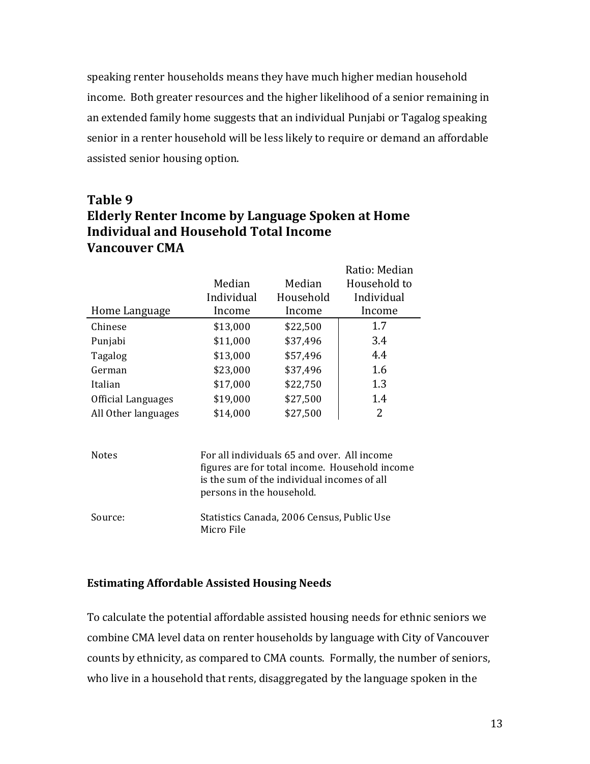speaking renter households means they have much higher median household income. Both greater resources and the higher likelihood of a senior remaining in an extended family home suggests that an individual Punjabi or Tagalog speaking senior in a renter household will be less likely to require or demand an affordable assisted senior housing option.

## **Table 9 Elderly Renter Income by Language Spoken at Home Individual and Household Total Income Vancouver CMA**

|                     |            |           | Ratio: Median |
|---------------------|------------|-----------|---------------|
|                     | Median     | Median    | Household to  |
|                     | Individual | Household | Individual    |
| Home Language       | Income     | Income    | Income        |
| Chinese             | \$13,000   | \$22,500  | 1.7           |
| Punjabi             | \$11,000   | \$37,496  | 3.4           |
| Tagalog             | \$13,000   | \$57,496  | 4.4           |
| German              | \$23,000   | \$37,496  | 1.6           |
| Italian             | \$17,000   | \$22,750  | 1.3           |
| Official Languages  | \$19,000   | \$27,500  | 1.4           |
| All Other languages | \$14,000   | \$27,500  | 2             |

| <b>Notes</b> | For all individuals 65 and over. All income<br>figures are for total income. Household income<br>is the sum of the individual incomes of all<br>persons in the household. |
|--------------|---------------------------------------------------------------------------------------------------------------------------------------------------------------------------|
| Source:      | Statistics Canada, 2006 Census, Public Use<br>Micro File                                                                                                                  |

#### **Estimating Affordable Assisted Housing Needs**

To calculate the potential affordable assisted housing needs for ethnic seniors we combine CMA level data on renter households by language with City of Vancouver counts by ethnicity, as compared to CMA counts. Formally, the number of seniors, who live in a household that rents, disaggregated by the language spoken in the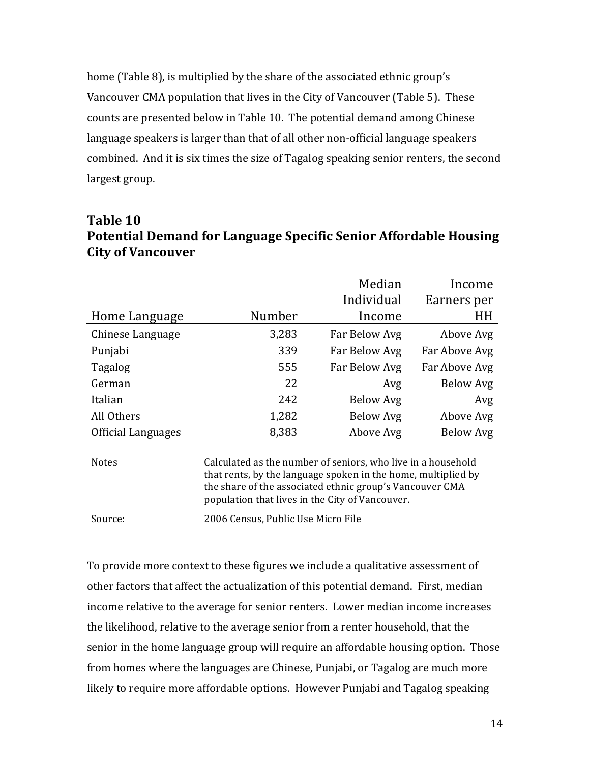home (Table 8), is multiplied by the share of the associated ethnic group's Vancouver CMA population that lives in the City of Vancouver (Table 5). These counts are presented below in Table 10. The potential demand among Chinese language speakers is larger than that of all other non-official language speakers combined. And it is six times the size of Tagalog speaking senior renters, the second largest group.

#### **Table 10 Potential Demand for Language Specific Senior Affordable Housing City of Vancouver**

|                           |        | Median<br>Individual | Income<br>Earners per |
|---------------------------|--------|----------------------|-----------------------|
| Home Language             | Number | Income               | HH                    |
| Chinese Language          | 3,283  | Far Below Avg        | Above Avg             |
| Punjabi                   | 339    | Far Below Avg        | Far Above Avg         |
| <b>Tagalog</b>            | 555    | Far Below Avg        | Far Above Avg         |
| German                    | 22     | Avg                  | Below Avg             |
| Italian                   | 242    | Below Avg            | Avg                   |
| All Others                | 1,282  | Below Avg            | Above Avg             |
| <b>Official Languages</b> | 8,383  | Above Avg            | Below Avg             |

Notes Calculated as the number of seniors, who live in a household that rents, by the language spoken in the home, multiplied by the share of the associated ethnic group's Vancouver CMA population that lives in the City of Vancouver.

Source: 2006 Census, Public Use Micro File

To provide more context to these figures we include a qualitative assessment of other factors that affect the actualization of this potential demand. First, median income relative to the average for senior renters. Lower median income increases the likelihood, relative to the average senior from a renter household, that the senior in the home language group will require an affordable housing option. Those from homes where the languages are Chinese, Punjabi, or Tagalog are much more likely to require more affordable options. However Punjabi and Tagalog speaking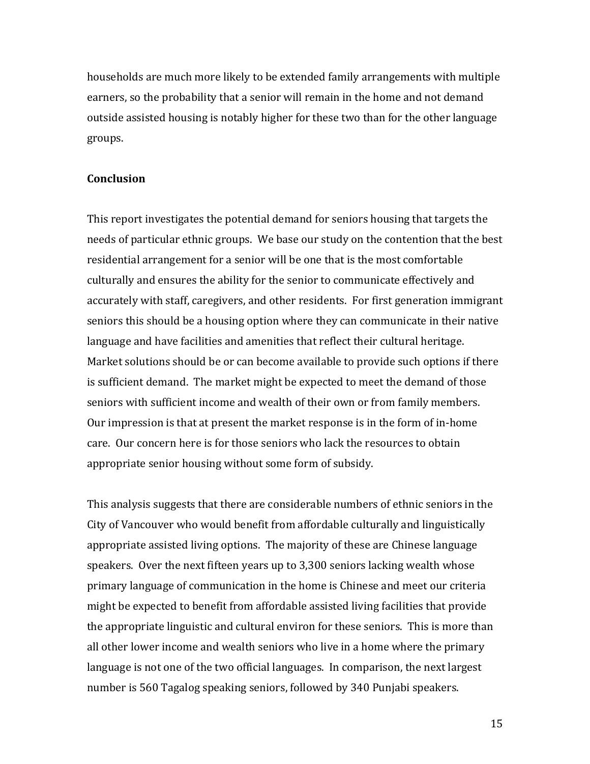households are much more likely to be extended family arrangements with multiple earners, so the probability that a senior will remain in the home and not demand outside assisted housing is notably higher for these two than for the other language groups.

#### **Conclusion**

This report investigates the potential demand for seniors housing that targets the needs of particular ethnic groups. We base our study on the contention that the best residential arrangement for a senior will be one that is the most comfortable culturally and ensures the ability for the senior to communicate effectively and accurately with staff, caregivers, and other residents. For first generation immigrant seniors this should be a housing option where they can communicate in their native language and have facilities and amenities that reflect their cultural heritage. Market solutions should be or can become available to provide such options if there is sufficient demand. The market might be expected to meet the demand of those seniors with sufficient income and wealth of their own or from family members. Our impression is that at present the market response is in the form of in-home care. Our concern here is for those seniors who lack the resources to obtain appropriate senior housing without some form of subsidy.

This analysis suggests that there are considerable numbers of ethnic seniors in the City of Vancouver who would benefit from affordable culturally and linguistically appropriate assisted living options. The majority of these are Chinese language speakers. Over the next fifteen years up to 3,300 seniors lacking wealth whose primary language of communication in the home is Chinese and meet our criteria might be expected to benefit from affordable assisted living facilities that provide the appropriate linguistic and cultural environ for these seniors. This is more than all other lower income and wealth seniors who live in a home where the primary language is not one of the two official languages. In comparison, the next largest number is 560 Tagalog speaking seniors, followed by 340 Punjabi speakers.